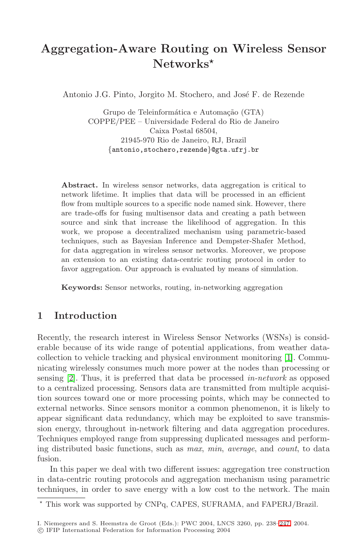# **Aggregation-Aware Routing on Wireless Sensor Networks**

Antonio J.G. Pinto, Jorgito M. Stochero, and José F. de Rezende

Grupo de Teleinformática e Automação (GTA) COPPE/PEE – Universidade Federal do Rio de Janeiro Caixa Postal 68504, 21945-970 Rio de Janeiro, RJ, Brazil {antonio,stochero,rezende}@gta.ufrj.br

**Abstract.** In wireless sensor networks, data aggregation is critical to network lifetime. It implies that data will be processed in an efficient flow from multiple sources to a specific node named sink. However, there are trade-offs for fusing multisensor data and creating a path between source and sink that increase the likelihood of aggregation. In this work, we propose a decentralized mechanism using parametric-based techniques, such as Bayesian Inference and Dempster-Shafer Method, for data aggregation in wireless sensor networks. Moreover, we propose an extension to an existing data-centric routing protocol in order to favor aggregation. Our approach is evaluated by means of simulation.

**Keywords:** Sensor networks, routing, in-networking aggregation

### **1 Introduction**

Recently, the research interest in Wireless Sensor Networks (WSNs) is considerable because of its wide range of potential applications, from weather datacollection to vehicle tracking and physical environment monitoring [\[1\]](#page-9-0). Communicating wirelessly consumes much more power at the nodes than processing or sensing [\[2\]](#page-9-0). Thus, it is preferred that data be processed *in-network* as opposed to a centralized processing. Sensors data are transmitted from multiple acquisition sources toward one or more processing points, which may be connected to external networks. Since sensors monitor a common phenomenon, it is likely to appear significant data redundancy, which may be exploited to save transmission energy, throughout in-network filtering and data aggregation procedures. Techniques employed range from suppressing duplicated messages and performing distributed basic functions, such as *max*, *min*, *average*, and *count*, to data fusion.

In this paper we deal with two different issues: aggregation tree construction in data-centric routing protocols and aggregation mechanism using parametric techniques, in order to save energy with a low cost to the network. The main

This work was supported by CNPq, CAPES, SUFRAMA, and FAPERJ/Brazil.

I. Niemegeers and S. Heemstra de Groot (Eds.): PWC 2004, LNCS 3260, pp. 238[–247,](#page-8-0) 2004.

c IFIP International Federation for Information Processing 2004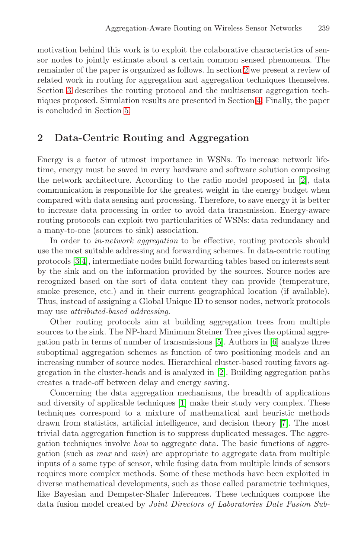motivation behind this work is to exploit the colaborative characteristics of sensor nodes to jointly estimate about a certain common sensed phenomena. The remainder of the paper is organized as follows. In section 2 we present a review of related work in routing for aggregation and aggregation techniques themselves. Section [3](#page-2-0) describes the routing protocol and the multisensor aggregation techniques proposed. Simulation results are presented in Section [4.](#page-6-0) Finally, the paper is concluded in Section [5.](#page-8-0)

#### **2 Data-Centric Routing and Aggregation**

Energy is a factor of utmost importance in WSNs. To increase network lifetime, energy must be saved in every hardware and software solution composing the network architecture. According to the radio model proposed in [\[2\]](#page-9-0), data communication is responsible for the greatest weight in the energy budget when compared with data sensing and processing. Therefore, to save energy it is better to increase data processing in order to avoid data transmission. Energy-aware routing protocols can exploit two particularities of WSNs: data redundancy and a many-to-one (sources to sink) association.

In order to *in-network aggregation* to be effective, routing protocols should use the most suitable addressing and forwarding schemes. In data-centric routing protocols [\[3,4\]](#page-9-0), intermediate nodes build forwarding tables based on interests sent by the sink and on the information provided by the sources. Source nodes are recognized based on the sort of data content they can provide (temperature, smoke presence, etc.) and in their current geographical location (if available). Thus, instead of assigning a Global Unique ID to sensor nodes, network protocols may use *attributed-based addressing*.

Other routing protocols aim at building aggregation trees from multiple sources to the sink. The NP-hard Minimum Steiner Tree gives the optimal aggregation path in terms of number of transmissions [\[5\]](#page-9-0). Authors in [\[6\]](#page-9-0) analyze three suboptimal aggregation schemes as function of two positioning models and an increasing number of source nodes. Hierarchical cluster-based routing favors aggregation in the cluster-heads and is analyzed in [\[2\]](#page-9-0). Building aggregation paths creates a trade-off between delay and energy saving.

Concerning the data aggregation mechanisms, the breadth of applications and diversity of applicable techniques [\[1\]](#page-9-0) make their study very complex. These techniques correspond to a mixture of mathematical and heuristic methods drawn from statistics, artificial intelligence, and decision theory [\[7\]](#page-9-0). The most trivial data aggregation function is to suppress duplicated messages. The aggregation techniques involve *how* to aggregate data. The basic functions of aggregation (such as *max* and *min*) are appropriate to aggregate data from multiple inputs of a same type of sensor, while fusing data from multiple kinds of sensors requires more complex methods. Some of these methods have been exploited in diverse mathematical developments, such as those called parametric techniques, like Bayesian and Dempster-Shafer Inferences. These techniques compose the data fusion model created by *Joint Directors of Laboratories Date Fusion Sub-*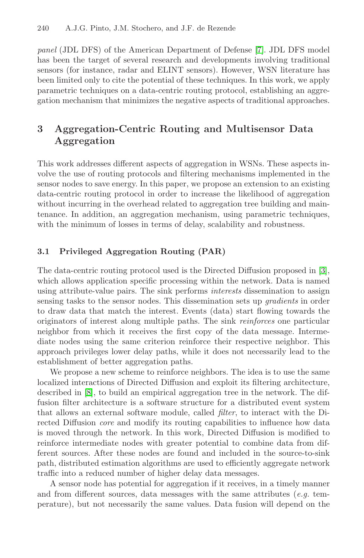<span id="page-2-0"></span>*panel* (JDL DFS) of the American Department of Defense [\[7\]](#page-9-0). JDL DFS model has been the target of several research and developments involving traditional sensors (for instance, radar and ELINT sensors). However, WSN literature has been limited only to cite the potential of these techniques. In this work, we apply parametric techniques on a data-centric routing protocol, establishing an aggregation mechanism that minimizes the negative aspects of traditional approaches.

## **3 Aggregation-Centric Routing and Multisensor Data Aggregation**

This work addresses different aspects of aggregation in WSNs. These aspects involve the use of routing protocols and filtering mechanisms implemented in the sensor nodes to save energy. In this paper, we propose an extension to an existing data-centric routing protocol in order to increase the likelihood of aggregation without incurring in the overhead related to aggregation tree building and maintenance. In addition, an aggregation mechanism, using parametric techniques, with the minimum of losses in terms of delay, scalability and robustness.

#### **3.1 Privileged Aggregation Routing (PAR)**

The data-centric routing protocol used is the Directed Diffusion proposed in [\[3\]](#page-9-0), which allows application specific processing within the network. Data is named using attribute-value pairs. The sink performs *interests* dissemination to assign sensing tasks to the sensor nodes. This dissemination sets up *gradients* in order to draw data that match the interest. Events (data) start flowing towards the originators of interest along multiple paths. The sink *reinforces* one particular neighbor from which it receives the first copy of the data message. Intermediate nodes using the same criterion reinforce their respective neighbor. This approach privileges lower delay paths, while it does not necessarily lead to the establishment of better aggregation paths.

We propose a new scheme to reinforce neighbors. The idea is to use the same localized interactions of Directed Diffusion and exploit its filtering architecture, described in [\[8\]](#page-9-0), to build an empirical aggregation tree in the network. The diffusion filter architecture is a software structure for a distributed event system that allows an external software module, called *filter*, to interact with the Directed Diffusion *core* and modify its routing capabilities to influence how data is moved through the network. In this work, Directed Diffusion is modified to reinforce intermediate nodes with greater potential to combine data from different sources. After these nodes are found and included in the source-to-sink path, distributed estimation algorithms are used to efficiently aggregate network traffic into a reduced number of higher delay data messages.

A sensor node has potential for aggregation if it receives, in a timely manner and from different sources, data messages with the same attributes (*e.g.* temperature), but not necessarily the same values. Data fusion will depend on the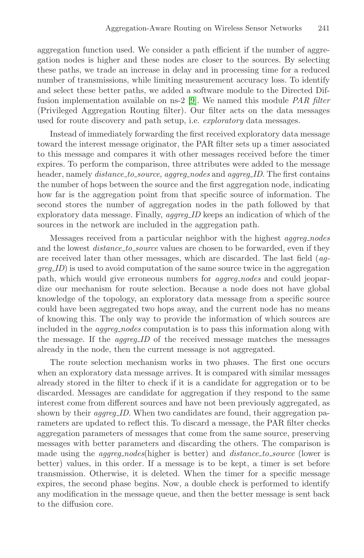aggregation function used. We consider a path efficient if the number of aggregation nodes is higher and these nodes are closer to the sources. By selecting these paths, we trade an increase in delay and in processing time for a reduced number of transmissions, while limiting measurement accuracy loss. To identify and select these better paths, we added a software module to the Directed Diffusion implementation available on ns-2 [\[9\]](#page-9-0). We named this module *PAR filter* (Privileged Aggregation Routing filter). Our filter acts on the data messages used for route discovery and path setup, i.e. *exploratory* data messages.

Instead of immediately forwarding the first received exploratory data message toward the interest message originator, the PAR filter sets up a timer associated to this message and compares it with other messages received before the timer expires. To perform the comparison, three attributes were added to the message header, namely *distance to source*, *aggreg nodes* and *aggreg ID*. The first contains the number of hops between the source and the first aggregation node, indicating how far is the aggregation point from that specific source of information. The second stores the number of aggregation nodes in the path followed by that exploratory data message. Finally, *aggreg ID* keeps an indication of which of the sources in the network are included in the aggregation path.

Messages received from a particular neighbor with the highest *aggreg nodes* and the lowest *distance to source* values are chosen to be forwarded, even if they are received later than other messages, which are discarded. The last field (*aggreg<sub>ID</sub>*) is used to avoid computation of the same source twice in the aggregation path, which would give erroneous numbers for *aggreg nodes* and could jeopardize our mechanism for route selection. Because a node does not have global knowledge of the topology, an exploratory data message from a specific source could have been aggregated two hops away, and the current node has no means of knowing this. The only way to provide the information of which sources are included in the *aggreg nodes* computation is to pass this information along with the message. If the *aggreg\_ID* of the received message matches the messages already in the node, then the current message is not aggregated.

The route selection mechanism works in two phases. The first one occurs when an exploratory data message arrives. It is compared with similar messages already stored in the filter to check if it is a candidate for aggregation or to be discarded. Messages are candidate for aggregation if they respond to the same interest come from different sources and have not been previously aggregated, as shown by their *aggreg\_ID*. When two candidates are found, their aggregation parameters are updated to reflect this. To discard a message, the PAR filter checks aggregation parameters of messages that come from the same source, preserving messages with better parameters and discarding the others. The comparison is made using the *aggreg nodes*(higher is better) and *distance to source* (lower is better) values, in this order. If a message is to be kept, a timer is set before transmission. Otherwise, it is deleted. When the timer for a specific message expires, the second phase begins. Now, a double check is performed to identify any modification in the message queue, and then the better message is sent back to the diffusion core.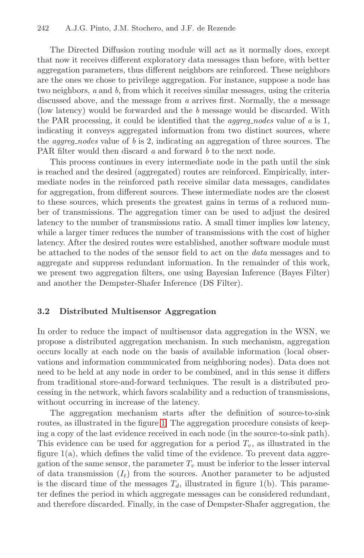The Directed Diffusion routing module will act as it normally does, except that now it receives different exploratory data messages than before, with better aggregation parameters, thus different neighbors are reinforced. These neighbors are the ones we chose to privilege aggregation. For instance, suppose a node has two neighbors, *a* and *b*, from which it receives similar messages, using the criteria discussed above, and the message from *a* arrives first. Normally, the *a* message (low latency) would be forwarded and the *b* message would be discarded. With the PAR processing, it could be identified that the *aggreg nodes* value of *a* is 1, indicating it conveys aggregated information from two distinct sources, where the *aggreg nodes* value of *b* is 2, indicating an aggregation of three sources. The PAR filter would then discard *a* and forward *b* to the next node.

This process continues in every intermediate node in the path until the sink is reached and the desired (aggregated) routes are reinforced. Empirically, intermediate nodes in the reinforced path receive similar data messages, candidates for aggregation, from different sources. These intermediate nodes are the closest to these sources, which presents the greatest gains in terms of a reduced number of transmissions. The aggregation timer can be used to adjust the desired latency to the number of transmissions ratio. A small timer implies low latency, while a larger timer reduces the number of transmissions with the cost of higher latency. After the desired routes were established, another software module must be attached to the nodes of the sensor field to act on the *data* messages and to aggregate and suppress redundant information. In the remainder of this work, we present two aggregation filters, one using Bayesian Inference (Bayes Filter) and another the Dempster-Shafer Inference (DS Filter).

#### **3.2 Distributed Multisensor Aggregation**

In order to reduce the impact of multisensor data aggregation in the WSN, we propose a distributed aggregation mechanism. In such mechanism, aggregation occurs locally at each node on the basis of available information (local observations and information communicated from neighboring nodes). Data does not need to be held at any node in order to be combined, and in this sense it differs from traditional store-and-forward techniques. The result is a distributed processing in the network, which favors scalability and a reduction of transmissions, without occurring in increase of the latency.

The aggregation mechanism starts after the definition of source-to-sink routes, as illustrated in the figure [1.](#page-5-0) The aggregation procedure consists of keeping a copy of the last evidence received in each node (in the source-to-sink path). This evidence can be used for aggregation for a period  $T_v$ , as illustrated in the figure 1(a), which defines the valid time of the evidence. To prevent data aggregation of the same sensor, the parameter  $T_v$  must be inferior to the lesser interval of data transmission  $(I_t)$  from the sources. Another parameter to be adjusted is the discard time of the messages  $T_d$ , illustrated in figure 1(b). This parameter defines the period in which aggregate messages can be considered redundant, and therefore discarded. Finally, in the case of Dempster-Shafer aggregation, the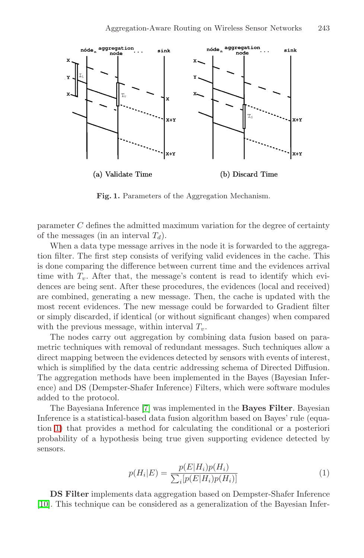<span id="page-5-0"></span>

**Fig. 1.** Parameters of the Aggregation Mechanism.

parameter C defines the admitted maximum variation for the degree of certainty of the messages (in an interval  $T_d$ ).

When a data type message arrives in the node it is forwarded to the aggregation filter. The first step consists of verifying valid evidences in the cache. This is done comparing the difference between current time and the evidences arrival time with  $T_v$ . After that, the message's content is read to identify which evidences are being sent. After these procedures, the evidences (local and received) are combined, generating a new message. Then, the cache is updated with the most recent evidences. The new message could be forwarded to Gradient filter or simply discarded, if identical (or without significant changes) when compared with the previous message, within interval  $T_v$ .

The nodes carry out aggregation by combining data fusion based on parametric techniques with removal of redundant messages. Such techniques allow a direct mapping between the evidences detected by sensors with events of interest, which is simplified by the data centric addressing schema of Directed Diffusion. The aggregation methods have been implemented in the Bayes (Bayesian Inference) and DS (Dempster-Shafer Inference) Filters, which were software modules added to the protocol.

The Bayesiana Inference [\[7\]](#page-9-0) was implemented in the **Bayes Filter**. Bayesian Inference is a statistical-based data fusion algorithm based on Bayes' rule (equation 1) that provides a method for calculating the conditional or a posteriori probability of a hypothesis being true given supporting evidence detected by sensors.

$$
p(H_i|E) = \frac{p(E|H_i)p(H_i)}{\sum_{i}[p(E|H_i)p(H_i)]}
$$
(1)

**DS Filter** implements data aggregation based on Dempster-Shafer Inference [\[10\]](#page-9-0). This technique can be considered as a generalization of the Bayesian Infer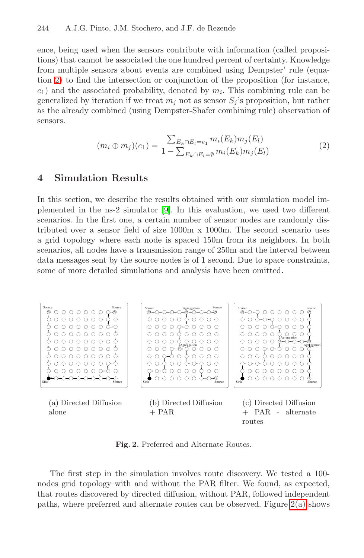<span id="page-6-0"></span>ence, being used when the sensors contribute with information (called propositions) that cannot be associated the one hundred percent of certainty. Knowledge from multiple sensors about events are combined using Dempster' rule (equation 2) to find the intersection or conjunction of the proposition (for instance,  $(e_1)$  and the associated probability, denoted by  $m_i$ . This combining rule can be generalized by iteration if we treat  $m_j$  not as sensor  $S_j$ 's proposition, but rather as the already combined (using Dempster-Shafer combining rule) observation of sensors.

$$
(m_i \oplus m_j)(e_1) = \frac{\sum_{E_k \cap E_l = e_1} m_i(E_k) m_j(E_l)}{1 - \sum_{E_k \cap E_l = \emptyset} m_i(E_k) m_j(E_l)}
$$
(2)

#### **4 Simulation Results**

In this section, we describe the results obtained with our simulation model implemented in the ns-2 simulator [\[9\]](#page-9-0). In this evaluation, we used two different scenarios. In the first one, a certain number of sensor nodes are randomly distributed over a sensor field of size 1000m x 1000m. The second scenario uses a grid topology where each node is spaced 150m from its neighbors. In both scenarios, all nodes have a transmission range of 250m and the interval between data messages sent by the source nodes is of 1 second. Due to space constraints, some of more detailed simulations and analysis have been omitted.



(a) Directed Diffusion alone



(b) Directed Diffusion  $+$  PAR

y Agreggation<br>  $\bigcirc$  +  $\bigcirc$  +  $\bigcirc$  +  $\bigcirc$  Agreggation  $000000000$  $\bullet$  0000000 9 9 Source

Source<br>
<sup>9</sup><br>
9 A A C C C C C C C <sup>Source</sup>

००००००००० 000000000

(c) Directed Diffusion + PAR - alternate routes

**Fig. 2.** Preferred and Alternate Routes.

The first step in the simulation involves route discovery. We tested a 100 nodes grid topology with and without the PAR filter. We found, as expected, that routes discovered by directed diffusion, without PAR, followed independent paths, where preferred and alternate routes can be observed. Figure  $2(a)$  shows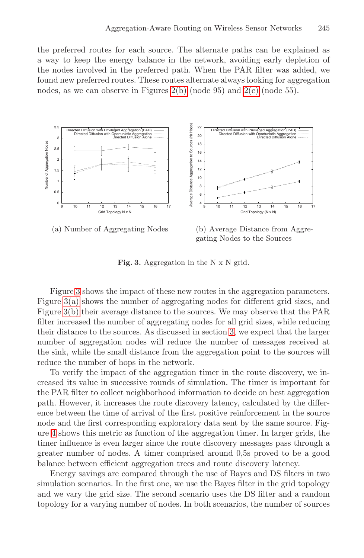the preferred routes for each source. The alternate paths can be explained as a way to keep the energy balance in the network, avoiding early depletion of the nodes involved in the preferred path. When the PAR filter was added, we found new preferred routes. These routes alternate always looking for aggregation nodes, as we can observe in Figures [2\(b\)](#page-6-0) (node 95) and [2\(c\)](#page-6-0) (node 55).



(a) Number of Aggregating Nodes

(b) Average Distance from Aggregating Nodes to the Sources

Fig. 3. Aggregation in the N x N grid.

Figure 3 shows the impact of these new routes in the aggregation parameters. Figure 3(a) shows the number of aggregating nodes for different grid sizes, and Figure 3(b) their average distance to the sources. We may observe that the PAR filter increased the number of aggregating nodes for all grid sizes, while reducing their distance to the sources. As discussed in section [3,](#page-2-0) we expect that the larger number of aggregation nodes will reduce the number of messages received at the sink, while the small distance from the aggregation point to the sources will reduce the number of hops in the network.

To verify the impact of the aggregation timer in the route discovery, we increased its value in successive rounds of simulation. The timer is important for the PAR filter to collect neighborhood information to decide on best aggregation path. However, it increases the route discovery latency, calculated by the difference between the time of arrival of the first positive reinforcement in the source node and the first corresponding exploratory data sent by the same source. Figure [4](#page-8-0) shows this metric as function of the aggregation timer. In larger grids, the timer influence is even larger since the route discovery messages pass through a greater number of nodes. A timer comprised around 0,5s proved to be a good balance between efficient aggregation trees and route discovery latency.

Energy savings are compared through the use of Bayes and DS filters in two simulation scenarios. In the first one, we use the Bayes filter in the grid topology and we vary the grid size. The second scenario uses the DS filter and a random topology for a varying number of nodes. In both scenarios, the number of sources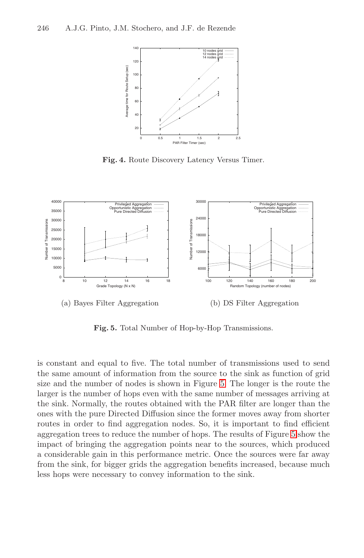<span id="page-8-0"></span>

**Fig. 4.** Route Discovery Latency Versus Timer.



**Fig. 5.** Total Number of Hop-by-Hop Transmissions.

is constant and equal to five. The total number of transmissions used to send the same amount of information from the source to the sink as function of grid size and the number of nodes is shown in Figure 5. The longer is the route the larger is the number of hops even with the same number of messages arriving at the sink. Normally, the routes obtained with the PAR filter are longer than the ones with the pure Directed Diffusion since the former moves away from shorter routes in order to find aggregation nodes. So, it is important to find efficient aggregation trees to reduce the number of hops. The results of Figure 5 show the impact of bringing the aggregation points near to the sources, which produced a considerable gain in this performance metric. Once the sources were far away from the sink, for bigger grids the aggregation benefits increased, because much less hops were necessary to convey information to the sink.